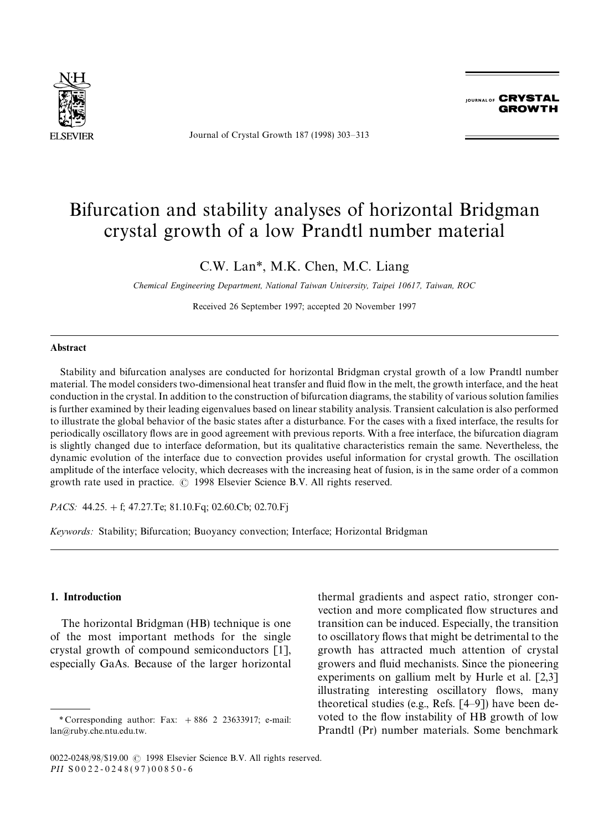

Journal of Crystal Growth 187 (1998) 303*—*313

JOURNAL OF **CRYSTAL GROWTH** 

# Bifurcation and stability analyses of horizontal Bridgman crystal growth of a low Prandtl number material

## C.W. Lan*\**, M.K. Chen, M.C. Liang

*Chemical Engineering Department, National Taiwan University, Taipei 10617, Taiwan, ROC*

Received 26 September 1997; accepted 20 November 1997

### Abstract

Stability and bifurcation analyses are conducted for horizontal Bridgman crystal growth of a low Prandtl number material. The model considers two-dimensional heat transfer and fluid flow in the melt, the growth interface, and the heat conduction in the crystal. In addition to the construction of bifurcation diagrams, the stability of various solution families is further examined by their leading eigenvalues based on linear stability analysis. Transient calculation is also performed to illustrate the global behavior of the basic states after a disturbance. For the cases with a fixed interface, the results for periodically oscillatory flows are in good agreement with previous reports. With a free interface, the bifurcation diagram is slightly changed due to interface deformation, but its qualitative characteristics remain the same. Nevertheless, the dynamic evolution of the interface due to convection provides useful information for crystal growth. The oscillation amplitude of the interface velocity, which decreases with the increasing heat of fusion, is in the same order of a common growth rate used in practice.  $\odot$  1998 Elsevier Science B.V. All rights reserved.

*PACS:* 44.25. + f; 47.27.Te; 81.10.Fq; 02.60.Cb; 02.70.Fj

*Keywords:* Stability; Bifurcation; Buoyancy convection; Interface; Horizontal Bridgman

## 1. Introduction

The horizontal Bridgman (HB) technique is one of the most important methods for the single crystal growth of compound semiconductors [1], especially GaAs. Because of the larger horizontal thermal gradients and aspect ratio, stronger convection and more complicated flow structures and transition can be induced. Especially, the transition to oscillatory flows that might be detrimental to the growth has attracted much attention of crystal growers and fluid mechanists. Since the pioneering experiments on gallium melt by Hurle et al. [2,3] illustrating interesting oscillatory flows, many theoretical studies (e.g., Refs. [4*—*9]) have been devoted to the flow instability of HB growth of low Prandtl (Pr) number materials. Some benchmark

*<sup>\*</sup>* Corresponding author: Fax: #886 2 23633917; e-mail: lan@ruby.che.ntu.edu.tw.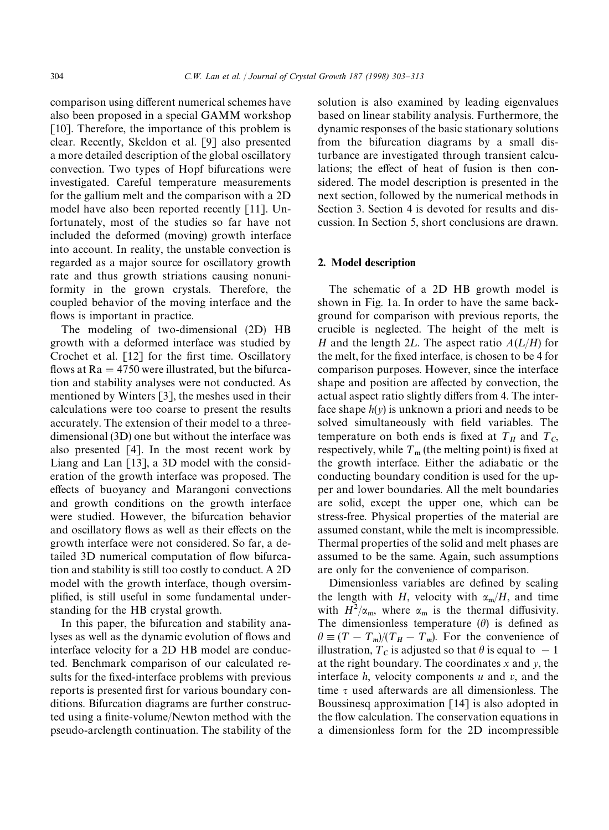comparison using different numerical schemes have also been proposed in a special GAMM workshop [10]. Therefore, the importance of this problem is clear. Recently, Skeldon et al. [9] also presented a more detailed description of the global oscillatory convection. Two types of Hopf bifurcations were investigated. Careful temperature measurements for the gallium melt and the comparison with a 2D model have also been reported recently [11]. Unfortunately, most of the studies so far have not included the deformed (moving) growth interface into account. In reality, the unstable convection is regarded as a major source for oscillatory growth rate and thus growth striations causing nonuniformity in the grown crystals. Therefore, the coupled behavior of the moving interface and the flows is important in practice.

The modeling of two-dimensional (2D) HB growth with a deformed interface was studied by Crochet et al. [12] for the first time. Oscillatory flows at  $Ra = 4750$  were illustrated, but the bifurcation and stability analyses were not conducted. As mentioned by Winters [3], the meshes used in their calculations were too coarse to present the results accurately. The extension of their model to a threedimensional (3D) one but without the interface was also presented [4]. In the most recent work by Liang and Lan [13], a 3D model with the consideration of the growth interface was proposed. The effects of buoyancy and Marangoni convections and growth conditions on the growth interface were studied. However, the bifurcation behavior and oscillatory flows as well as their effects on the growth interface were not considered. So far, a detailed 3D numerical computation of flow bifurcation and stability is still too costly to conduct. A 2D model with the growth interface, though oversimplified, is still useful in some fundamental understanding for the HB crystal growth.

In this paper, the bifurcation and stability analyses as well as the dynamic evolution of flows and interface velocity for a 2D HB model are conducted. Benchmark comparison of our calculated results for the fixed-interface problems with previous reports is presented first for various boundary conditions. Bifurcation diagrams are further constructed using a finite-volume/Newton method with the pseudo-arclength continuation. The stability of the solution is also examined by leading eigenvalues based on linear stability analysis. Furthermore, the dynamic responses of the basic stationary solutions from the bifurcation diagrams by a small disturbance are investigated through transient calculations; the effect of heat of fusion is then considered. The model description is presented in the next section, followed by the numerical methods in Section 3. Section 4 is devoted for results and discussion. In Section 5, short conclusions are drawn.

#### 2. Model description

The schematic of a 2D HB growth model is shown in Fig. 1a. In order to have the same background for comparison with previous reports, the crucible is neglected. The height of the melt is *H* and the length 2*L*. The aspect ratio  $A(L/H)$  for the melt, for the fixed interface, is chosen to be 4 for comparison purposes. However, since the interface shape and position are affected by convection, the actual aspect ratio slightly differs from 4. The interface shape  $h(y)$  is unknown a priori and needs to be solved simultaneously with field variables. The temperature on both ends is fixed at  $T_H$  and  $T_C$ , respectively, while  $T_m$  (the melting point) is fixed at the growth interface. Either the adiabatic or the conducting boundary condition is used for the upper and lower boundaries. All the melt boundaries are solid, except the upper one, which can be stress-free. Physical properties of the material are assumed constant, while the melt is incompressible. Thermal properties of the solid and melt phases are assumed to be the same. Again, such assumptions are only for the convenience of comparison.

Dimensionless variables are defined by scaling the length with *H*, velocity with  $\alpha_m/H$ , and time with  $H^2/\alpha_m$ , where  $\alpha_m$  is the thermal diffusivity. The dimensionless temperature  $(\theta)$  is defined as  $\theta \equiv (T - T_m)/(T_H - T_m)$ . For the convenience of illustration,  $T_c$  is adjusted so that  $\theta$  is equal to  $-1$ at the right boundary. The coordinates *x* and *y*, the interface *h*, velocity components *u* and *v*, and the time  $\tau$  used afterwards are all dimensionless. The Boussinesq approximation  $\lceil 14 \rceil$  is also adopted in the flow calculation. The conservation equations in a dimensionless form for the 2D incompressible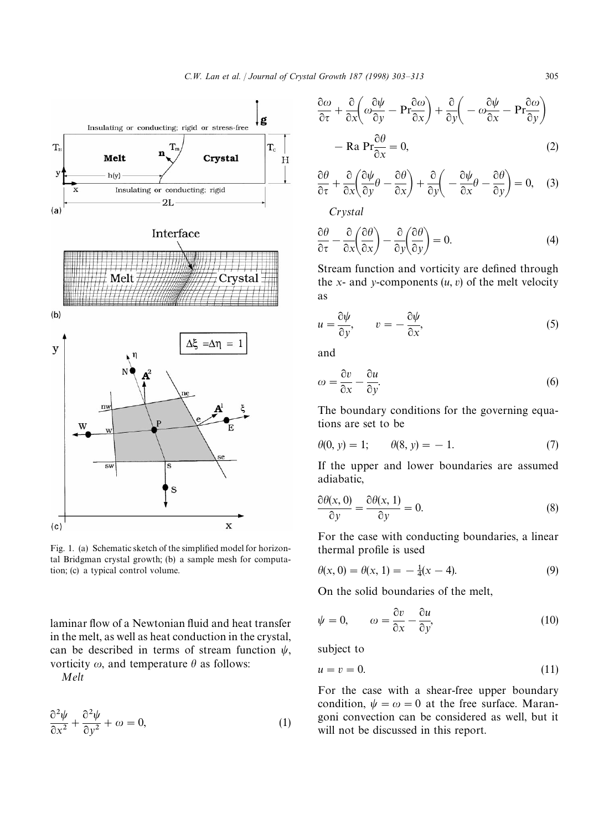

Fig. 1. (a) Schematic sketch of the simplified model for horizontal Bridgman crystal growth; (b) a sample mesh for computation; (c) a typical control volume.

laminar flow of a Newtonian fluid and heat transfer in the melt, as well as heat conduction in the crystal, can be described in terms of stream function  $\psi$ , vorticity  $\omega$ , and temperature  $\theta$  as follows:

*Melt*

$$
\frac{\partial^2 \psi}{\partial x^2} + \frac{\partial^2 \psi}{\partial y^2} + \omega = 0, \tag{1}
$$

$$
\frac{\partial \omega}{\partial \tau} + \frac{\partial}{\partial x} \left( \omega \frac{\partial \psi}{\partial y} - \mathbf{Pr} \frac{\partial \omega}{\partial x} \right) + \frac{\partial}{\partial y} \left( -\omega \frac{\partial \psi}{\partial x} - \mathbf{Pr} \frac{\partial \omega}{\partial y} \right) \n- \text{Ra } \mathbf{Pr} \frac{\partial \theta}{\partial x} = 0,
$$
\n(2)

$$
\frac{\partial \theta}{\partial \tau} + \frac{\partial}{\partial x} \left( \frac{\partial \psi}{\partial y} \theta - \frac{\partial \theta}{\partial x} \right) + \frac{\partial}{\partial y} \left( -\frac{\partial \psi}{\partial x} \theta - \frac{\partial \theta}{\partial y} \right) = 0, \quad (3)
$$

*Crystal*

$$
\frac{\partial \theta}{\partial \tau} - \frac{\partial}{\partial x} \left( \frac{\partial \theta}{\partial x} \right) - \frac{\partial}{\partial y} \left( \frac{\partial \theta}{\partial y} \right) = 0.
$$
 (4)

Stream function and vorticity are defined through the *x*- and *y*-components  $(u, v)$  of the melt velocity as

$$
u = \frac{\partial \psi}{\partial y}, \qquad v = -\frac{\partial \psi}{\partial x}, \tag{5}
$$

and

$$
\omega = \frac{\partial v}{\partial x} - \frac{\partial u}{\partial y}.\tag{6}
$$

The boundary conditions for the governing equations are set to be

$$
\theta(0, y) = 1; \qquad \theta(8, y) = -1. \tag{7}
$$

If the upper and lower boundaries are assumed adiabatic,

$$
\frac{\partial \theta(x,0)}{\partial y} = \frac{\partial \theta(x,1)}{\partial y} = 0.
$$
 (8)

For the case with conducting boundaries, a linear thermal profile is used

$$
\theta(x, 0) = \theta(x, 1) = -\frac{1}{4}(x - 4). \tag{9}
$$

On the solid boundaries of the melt,

$$
\psi = 0, \qquad \omega = \frac{\partial v}{\partial x} - \frac{\partial u}{\partial y}, \tag{10}
$$

subject to

$$
u = v = 0.\t(11)
$$

For the case with a shear-free upper boundary condition,  $\psi = \omega = 0$  at the free surface. Marangoni convection can be considered as well, but it will not be discussed in this report.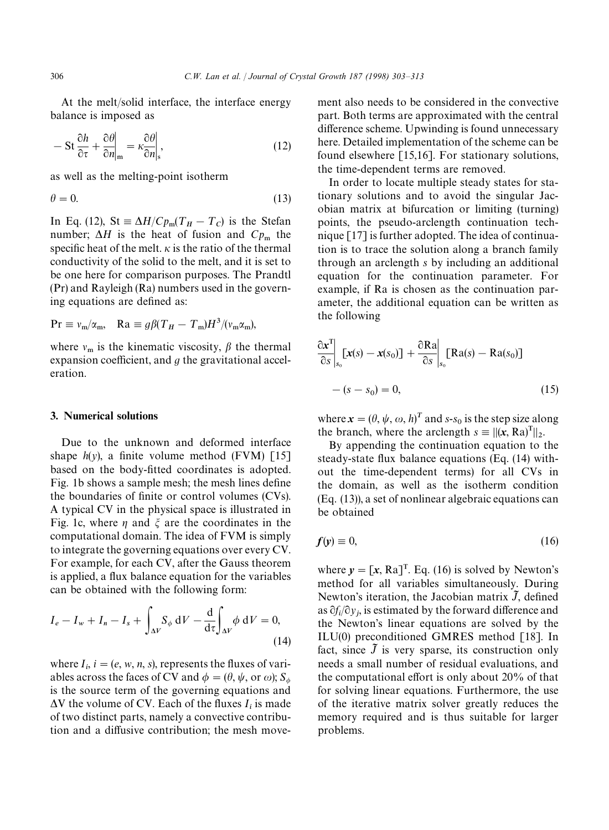At the melt/solid interface, the interface energy balance is imposed as

$$
- \operatorname{St} \frac{\partial h}{\partial \tau} + \frac{\partial \theta}{\partial n}\bigg|_{\mathbf{m}} = \kappa \frac{\partial \theta}{\partial n}\bigg|_{\mathbf{s}},\tag{12}
$$

as well as the melting-point isotherm

$$
\theta = 0.\tag{13}
$$

In Eq. (12), St  $\equiv \Delta H / C p_{\rm m} (T_H - T_C)$  is the Stefan number;  $\Delta H$  is the heat of fusion and  $Cp_m$  the specific heat of the melt.  $\kappa$  is the ratio of the thermal conductivity of the solid to the melt, and it is set to be one here for comparison purposes. The Prandtl (Pr) and Rayleigh (Ra) numbers used in the governing equations are defined as:

$$
\Pr \equiv v_{\rm m}/\alpha_{\rm m}, \quad {\rm Ra} \equiv g \beta (T_H - T_{\rm m}) H^3 / (v_{\rm m} \alpha_{\rm m}),
$$

where  $v_m$  is the kinematic viscosity,  $\beta$  the thermal expansion coefficient, and *g* the gravitational acceleration.

## 3. Numerical solutions

Due to the unknown and deformed interface shape  $h(y)$ , a finite volume method (FVM) [15] based on the body-fitted coordinates is adopted. Fig. 1b shows a sample mesh; the mesh lines define the boundaries of finite or control volumes (CVs). A typical CV in the physical space is illustrated in Fig. 1c, where  $\eta$  and  $\xi$  are the coordinates in the computational domain. The idea of FVM is simply to integrate the governing equations over every CV. For example, for each CV, after the Gauss theorem is applied, a flux balance equation for the variables can be obtained with the following form:

$$
I_e - I_w + I_n - I_s + \int_{\Delta V} S_\phi \, dV - \frac{d}{d\tau} \int_{\Delta V} \phi \, dV = 0,
$$
\n(14)

where  $I_i$ ,  $i = (e, w, n, s)$ , represents the fluxes of variables across the faces of CV and  $\phi = (\theta, \psi, \text{ or } \omega); S$ ables across the faces of C v and  $\psi = (v, \psi, \text{or } \omega), s_{\psi}$ <br>is the source term of the governing equations and  $\Delta V$  the volume of CV. Each of the fluxes  $I_i$  is made of two distinct parts, namely a convective contribution and a diffusive contribution; the mesh movement also needs to be considered in the convective part. Both terms are approximated with the central difference scheme. Upwinding is found unnecessary here. Detailed implementation of the scheme can be found elsewhere [15,16]. For stationary solutions, the time-dependent terms are removed.

In order to locate multiple steady states for stationary solutions and to avoid the singular Jacobian matrix at bifurcation or limiting (turning) points, the pseudo-arclength continuation technique [17] is further adopted. The idea of continuation is to trace the solution along a branch family through an arclength *s* by including an additional equation for the continuation parameter. For example, if Ra is chosen as the continuation parameter, the additional equation can be written as the following

$$
\frac{\partial \mathbf{x}^{\mathrm{T}}}{\partial s}\Big|_{s_0} [\mathbf{x}(s) - \mathbf{x}(s_0)] + \frac{\partial \mathrm{Ra}}{\partial s}\Big|_{s_0} [\mathrm{Ra}(s) - \mathrm{Ra}(s_0)]
$$

$$
-(s - s_0) = 0,
$$
(15)

where  $\mathbf{x} = (\theta, \psi, \omega, h)^T$  and *s*-*s*<sub>0</sub> is the step size along the branch, where the arclength  $s = ||(x, Ra)^T||_2$ .

By appending the continuation equation to the steady-state flux balance equations (Eq. (14) without the time-dependent terms) for all CVs in the domain, as well as the isotherm condition (Eq. (13)), a set of nonlinear algebraic equations can be obtained

$$
f(y) \equiv 0,\tag{16}
$$

where  $y = [x, Ra]^T$ . Eq. (16) is solved by Newton's method for all variables simultaneously. During Newton's iteration, the Jacobian matrix  $\tilde{J}$ , defined as  $\partial f_i/\partial y_j$ , is estimated by the forward difference and the Newton's linear equations are solved by the ILU(0) preconditioned GMRES method [18]. In fact, since  $\tilde{J}$  is very sparse, its construction only needs a small number of residual evaluations, and the computational effort is only about 20% of that for solving linear equations. Furthermore, the use of the iterative matrix solver greatly reduces the memory required and is thus suitable for larger problems.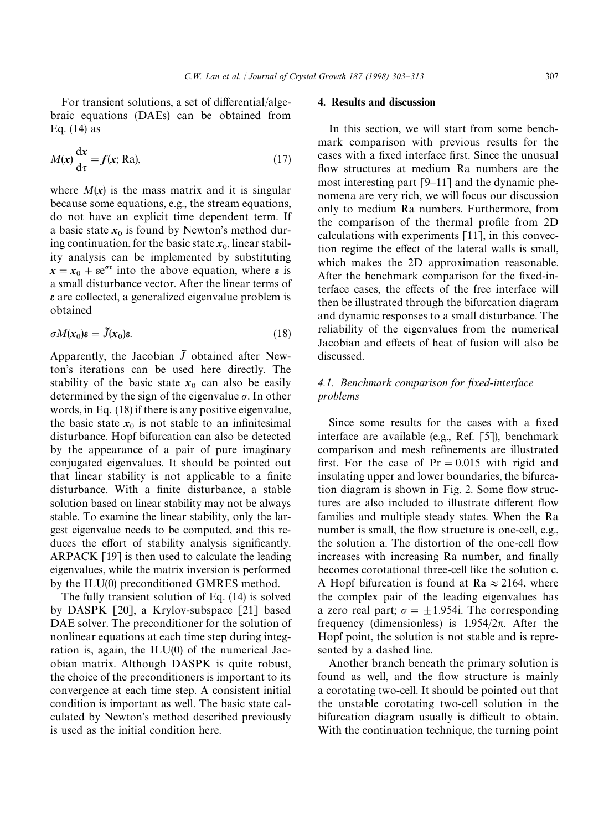For transient solutions, a set of differential/algebraic equations (DAEs) can be obtained from Eq. (14) as

$$
M(x)\frac{\mathrm{d}x}{\mathrm{d}\tau} = f(x; \text{Ra}),\tag{17}
$$

where  $M(x)$  is the mass matrix and it is singular because some equations, e.g., the stream equations, do not have an explicit time dependent term. If a basic state  $x_0$  is found by Newton's method during continuation, for the basic state  $x_0$ , linear stability analysis can be implemented by substituting  $x = x_0 + \epsilon e^{\sigma \tau}$  into the above equation, where  $\epsilon$  is a small disturbance vector. After the linear terms of *e* are collected, a generalized eigenvalue problem is obtained

$$
\sigma M(x_0)\varepsilon = \tilde{J}(x_0)\varepsilon. \tag{18}
$$

Apparently, the Jacobian  $\tilde{J}$  obtained after Newton's iterations can be used here directly. The stability of the basic state  $x_0$  can also be easily determined by the sign of the eigenvalue  $\sigma$ . In other words, in Eq. (18) if there is any positive eigenvalue, the basic state  $x_0$  is not stable to an infinitesimal disturbance. Hopf bifurcation can also be detected by the appearance of a pair of pure imaginary conjugated eigenvalues. It should be pointed out that linear stability is not applicable to a finite disturbance. With a finite disturbance, a stable solution based on linear stability may not be always stable. To examine the linear stability, only the largest eigenvalue needs to be computed, and this reduces the effort of stability analysis significantly. ARPACK [19] is then used to calculate the leading eigenvalues, while the matrix inversion is performed by the ILU(0) preconditioned GMRES method.

The fully transient solution of Eq. (14) is solved by DASPK [20], a Krylov-subspace [21] based DAE solver. The preconditioner for the solution of nonlinear equations at each time step during integration is, again, the ILU(0) of the numerical Jacobian matrix. Although DASPK is quite robust, the choice of the preconditioners is important to its convergence at each time step. A consistent initial condition is important as well. The basic state calculated by Newton's method described previously is used as the initial condition here.

## 4. Results and discussion

In this section, we will start from some benchmark comparison with previous results for the cases with a fixed interface first. Since the unusual flow structures at medium Ra numbers are the most interesting part [9*—*11] and the dynamic phenomena are very rich, we will focus our discussion only to medium Ra numbers. Furthermore, from the comparison of the thermal profile from 2D calculations with experiments [11], in this convection regime the effect of the lateral walls is small, which makes the 2D approximation reasonable. After the benchmark comparison for the fixed-interface cases, the effects of the free interface will then be illustrated through the bifurcation diagram and dynamic responses to a small disturbance. The reliability of the eigenvalues from the numerical Jacobian and effects of heat of fusion will also be discussed.

## *4.1. Benchmark comparison for fixed-interface problems*

Since some results for the cases with a fixed interface are available (e.g., Ref. [5]), benchmark comparison and mesh refinements are illustrated first. For the case of  $Pr = 0.015$  with rigid and insulating upper and lower boundaries, the bifurcation diagram is shown in Fig. 2. Some flow structures are also included to illustrate different flow families and multiple steady states. When the Ra number is small, the flow structure is one-cell, e.g., the solution a. The distortion of the one-cell flow increases with increasing Ra number, and finally becomes corotational three-cell like the solution c. A Hopf bifurcation is found at Ra  $\approx$  2164, where the complex pair of the leading eigenvalues has a zero real part;  $\sigma = \pm 1.954$ i. The corresponding frequency (dimensionless) is  $1.954/2\pi$ . After the Hopf point, the solution is not stable and is represented by a dashed line.

Another branch beneath the primary solution is found as well, and the flow structure is mainly a corotating two-cell. It should be pointed out that the unstable corotating two-cell solution in the bifurcation diagram usually is difficult to obtain. With the continuation technique, the turning point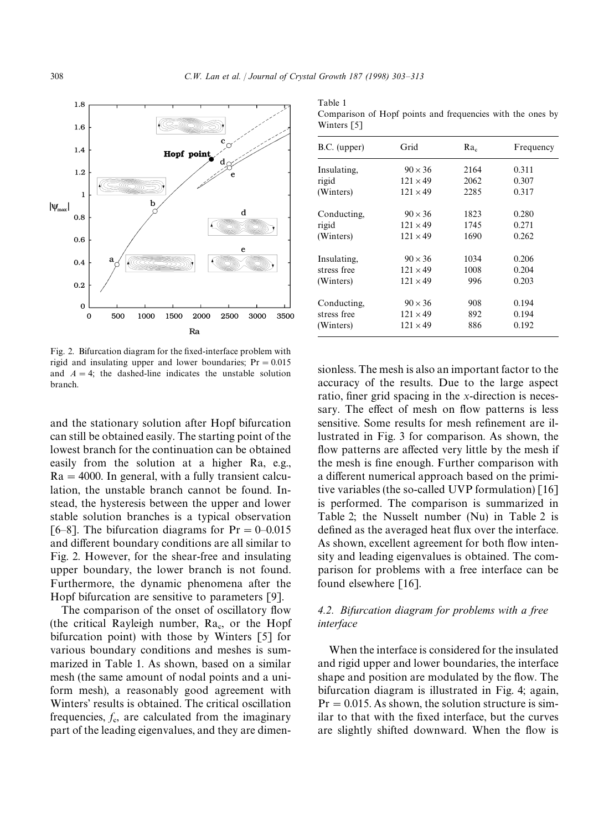$T = 1.1 - 1$ 



Fig. 2. Bifurcation diagram for the fixed-interface problem with rigid and insulating upper and lower boundaries;  $Pr = 0.015$ and  $A = 4$ ; the dashed-line indicates the unstable solution branch.

and the stationary solution after Hopf bifurcation can still be obtained easily. The starting point of the lowest branch for the continuation can be obtained easily from the solution at a higher Ra, e.g.,  $Ra = 4000$ . In general, with a fully transient calculation, the unstable branch cannot be found. Instead, the hysteresis between the upper and lower stable solution branches is a typical observation [6–8]. The bifurcation diagrams for  $Pr = 0-0.015$ and different boundary conditions are all similar to Fig. 2. However, for the shear-free and insulating upper boundary, the lower branch is not found. Furthermore, the dynamic phenomena after the Hopf bifurcation are sensitive to parameters [9].

The comparison of the onset of oscillatory flow (the critical Rayleigh number,  $Ra_{c}$ , or the Hopf bifurcation point) with those by Winters [5] for various boundary conditions and meshes is summarized in Table 1. As shown, based on a similar mesh (the same amount of nodal points and a uniform mesh), a reasonably good agreement with Winters' results is obtained. The critical oscillation frequencies,  $f<sub>e</sub>$ , are calculated from the imaginary part of the leading eigenvalues, and they are dimen-

| rabie r                                                    |
|------------------------------------------------------------|
| Comparison of Hopf points and frequencies with the ones by |
| Winters $\lceil 5 \rceil$                                  |

| Grid            | $Ra_c$ | Frequency |
|-----------------|--------|-----------|
| $90 \times 36$  | 2164   | 0.311     |
| $121 \times 49$ | 2062   | 0.307     |
| $121 \times 49$ | 2285   | 0.317     |
| $90 \times 36$  | 1823   | 0.280     |
| $121 \times 49$ | 1745   | 0.271     |
| $121 \times 49$ | 1690   | 0.262     |
| $90 \times 36$  | 1034   | 0.206     |
| $121 \times 49$ | 1008   | 0.204     |
| $121 \times 49$ | 996    | 0.203     |
| $90 \times 36$  | 908    | 0.194     |
| $121 \times 49$ | 892    | 0.194     |
| $121 \times 49$ | 886    | 0.192     |
|                 |        |           |

sionless. The mesh is also an important factor to the accuracy of the results. Due to the large aspect ratio, finer grid spacing in the *x*-direction is necessary. The effect of mesh on flow patterns is less sensitive. Some results for mesh refinement are illustrated in Fig. 3 for comparison. As shown, the flow patterns are affected very little by the mesh if the mesh is fine enough. Further comparison with a different numerical approach based on the primitive variables (the so-called UVP formulation) [16] is performed. The comparison is summarized in Table 2; the Nusselt number (Nu) in Table 2 is defined as the averaged heat flux over the interface. As shown, excellent agreement for both flow intensity and leading eigenvalues is obtained. The comparison for problems with a free interface can be found elsewhere [16].

## *4.2. Bifurcation diagram for problems with a free interface*

When the interface is considered for the insulated and rigid upper and lower boundaries, the interface shape and position are modulated by the flow. The bifurcation diagram is illustrated in Fig. 4; again,  $Pr = 0.015$ . As shown, the solution structure is similar to that with the fixed interface, but the curves are slightly shifted downward. When the flow is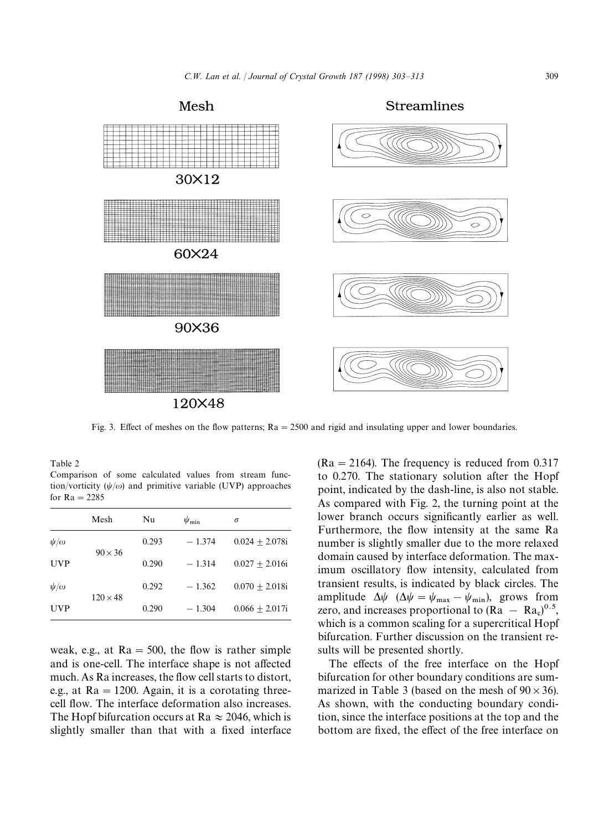

Fig. 3. Effect of meshes on the flow patterns;  $Ra = 2500$  and rigid and insulating upper and lower boundaries.

Table 2

Comparison of some calculated values from stream function/vorticity  $(\psi/\omega)$  and primitive variable (UVP) approaches for  $Ra = 2285$ 

|               | Mesh            | Nu    | $\psi_{\min}$ | $\sigma$         |
|---------------|-----------------|-------|---------------|------------------|
| $\psi/\omega$ | $90 \times 36$  | 0.293 | $-1.374$      | $0.024 + 2.078i$ |
| <b>UVP</b>    |                 | 0.290 | $-1.314$      | $0.027 + 2.016i$ |
| $\psi/\omega$ | $120 \times 48$ | 0.292 | $-1.362$      | $0.070 + 2.018i$ |
| <b>UVP</b>    |                 | 0.290 | $-1.304$      | $0.066 + 2.017i$ |

weak, e.g., at  $Ra = 500$ , the flow is rather simple and is one-cell. The interface shape is not affected much. As Ra increases, the flow cell starts to distort, e.g., at  $Ra = 1200$ . Again, it is a corotating threecell flow. The interface deformation also increases. The Hopf bifurcation occurs at Ra  $\approx$  2046, which is slightly smaller than that with a fixed interface

 $(Ra = 2164)$ . The frequency is reduced from 0.317 to 0.270. The stationary solution after the Hopf point, indicated by the dash-line, is also not stable. As compared with Fig. 2, the turning point at the lower branch occurs significantly earlier as well. Furthermore, the flow intensity at the same Ra number is slightly smaller due to the more relaxed domain caused by interface deformation. The maximum oscillatory flow intensity, calculated from transient results, is indicated by black circles. The amplitude  $\Delta \psi$  ( $\Delta \psi = \psi_{\text{max}} - \psi_{\text{min}}$ ), grows from zero, and increases proportional to  $(Ra - Ra_c)^{0.5}$ , which is a common scaling for a supercritical Hopf bifurcation. Further discussion on the transient results will be presented shortly.

The effects of the free interface on the Hopf bifurcation for other boundary conditions are summarized in Table 3 (based on the mesh of  $90 \times 36$ ). As shown, with the conducting boundary condition, since the interface positions at the top and the bottom are fixed, the effect of the free interface on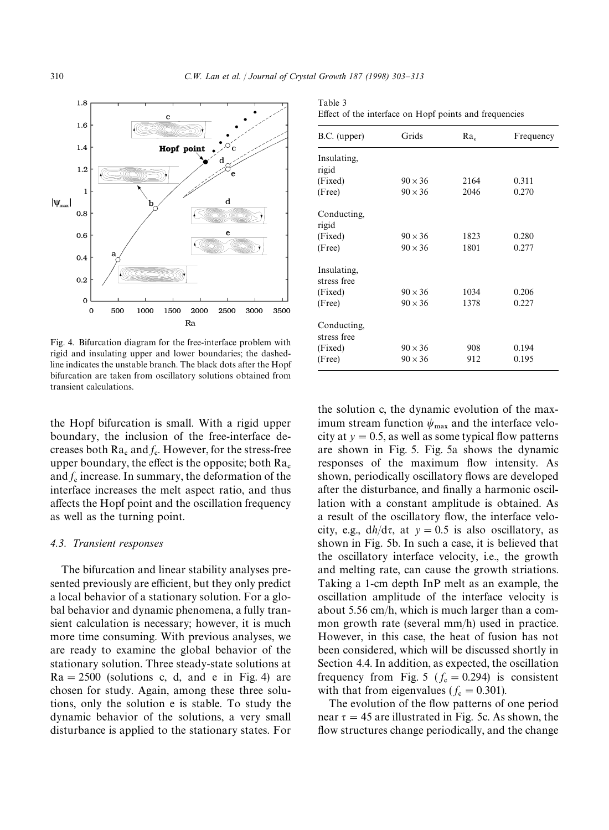Table 3



Fig. 4. Bifurcation diagram for the free-interface problem with rigid and insulating upper and lower boundaries; the dashedline indicates the unstable branch. The black dots after the Hopf bifurcation are taken from oscillatory solutions obtained from transient calculations.

the Hopf bifurcation is small. With a rigid upper boundary, the inclusion of the free-interface decreases both  $Ra_c$  and  $f_c$ . However, for the stress-free upper boundary, the effect is the opposite; both  $Ra_c$  and  $f_c$  increase. In summary, the deformation of the interface increases the melt aspect ratio, and thus affects the Hopf point and the oscillation frequency as well as the turning point.

#### *4.3. Transient responses*

The bifurcation and linear stability analyses presented previously are efficient, but they only predict a local behavior of a stationary solution. For a global behavior and dynamic phenomena, a fully transient calculation is necessary; however, it is much more time consuming. With previous analyses, we are ready to examine the global behavior of the stationary solution. Three steady-state solutions at  $Ra = 2500$  (solutions c, d, and e in Fig. 4) are chosen for study. Again, among these three solutions, only the solution e is stable. To study the dynamic behavior of the solutions, a very small disturbance is applied to the stationary states. For

| B.C. (upper) | Grids          | $Ra_c$ | Frequency |
|--------------|----------------|--------|-----------|
| Insulating,  |                |        |           |
| rigid        |                |        |           |
| (Fixed)      | $90 \times 36$ | 2164   | 0.311     |
| (Free)       | $90 \times 36$ | 2046   | 0.270     |
| Conducting,  |                |        |           |
| rigid        |                |        |           |
| (Fixed)      | $90 \times 36$ | 1823   | 0.280     |
| (Free)       | $90 \times 36$ | 1801   | 0.277     |
| Insulating,  |                |        |           |
| stress free  |                |        |           |
| (Fixed)      | $90 \times 36$ | 1034   | 0.206     |
| (Free)       | $90 \times 36$ | 1378   | 0.227     |
| Conducting,  |                |        |           |
| stress free  |                |        |           |
| (Fixed)      | $90 \times 36$ | 908    | 0.194     |
| (Free)       | $90 \times 36$ | 912    | 0.195     |
|              |                |        |           |

the solution c, the dynamic evolution of the maximum stream function  $\psi_{\text{max}}$  and the interface velocity at  $y = 0.5$ , as well as some typical flow patterns are shown in Fig. 5. Fig. 5a shows the dynamic responses of the maximum flow intensity. As shown, periodically oscillatory flows are developed after the disturbance, and finally a harmonic oscillation with a constant amplitude is obtained. As a result of the oscillatory flow, the interface velocity, e.g.,  $dh/d\tau$ , at  $y = 0.5$  is also oscillatory, as shown in Fig. 5b. In such a case, it is believed that the oscillatory interface velocity, i.e., the growth and melting rate, can cause the growth striations. Taking a 1-cm depth InP melt as an example, the oscillation amplitude of the interface velocity is about 5.56 cm/h, which is much larger than a common growth rate (several mm/h) used in practice. However, in this case, the heat of fusion has not been considered, which will be discussed shortly in Section 4.4. In addition, as expected, the oscillation frequency from Fig. 5 ( $f_c = 0.294$ ) is consistent with that from eigenvalues ( $f_c = 0.301$ ).

The evolution of the flow patterns of one period near  $\tau = 45$  are illustrated in Fig. 5c. As shown, the flow structures change periodically, and the change

Effect of the interface on Hopf points and frequencies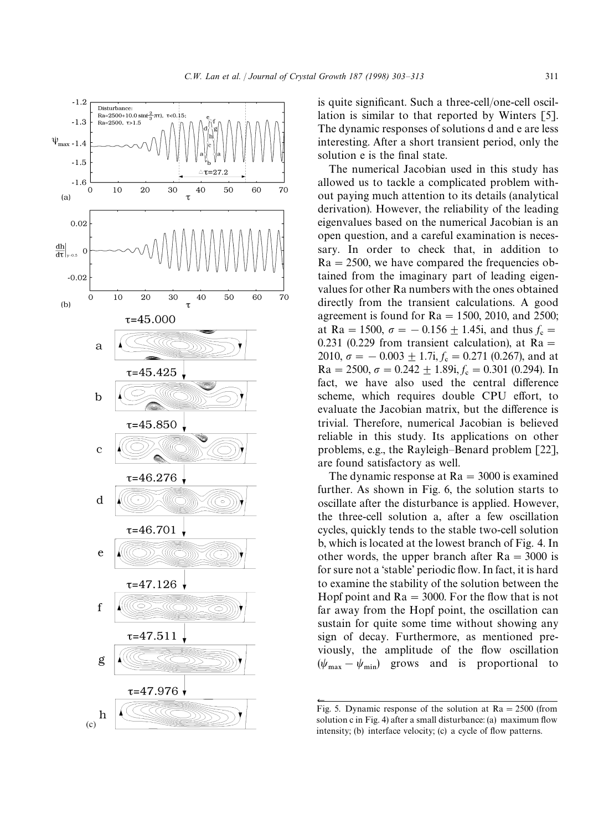

is quite significant. Such a three-cell/one-cell oscillation is similar to that reported by Winters [5]. The dynamic responses of solutions d and e are less interesting. After a short transient period, only the solution e is the final state.

The numerical Jacobian used in this study has allowed us to tackle a complicated problem without paying much attention to its details (analytical derivation). However, the reliability of the leading eigenvalues based on the numerical Jacobian is an open question, and a careful examination is necessary. In order to check that, in addition to  $Ra = 2500$ , we have compared the frequencies obtained from the imaginary part of leading eigenvalues for other Ra numbers with the ones obtained directly from the transient calculations. A good agreement is found for  $Ra = 1500$ , 2010, and 2500; at Ra = 1500,  $\sigma = -0.156 \pm 1.45i$ , and thus  $f_c =$ 0.231 (0.229 from transient calculation), at  $Ra =$  $2010, \sigma = -0.003 \pm 1.7$ i,  $f_c = 0.271$  (0.267), and at  $Ra = 2500, \sigma = 0.242 \pm 1.89$ i,  $f_c = 0.301$  (0.294). In fact, we have also used the central difference scheme, which requires double CPU effort, to evaluate the Jacobian matrix, but the difference is trivial. Therefore, numerical Jacobian is believed reliable in this study. Its applications on other problems, e.g., the Rayleigh*—*Benard problem [22], are found satisfactory as well.

The dynamic response at  $Ra = 3000$  is examined further. As shown in Fig. 6, the solution starts to oscillate after the disturbance is applied. However, the three-cell solution a, after a few oscillation cycles, quickly tends to the stable two-cell solution b, which is located at the lowest branch of Fig. 4. In other words, the upper branch after  $Ra = 3000$  is for sure not a 'stable' periodic flow. In fact, it is hard to examine the stability of the solution between the Hopf point and  $Ra = 3000$ . For the flow that is not far away from the Hopf point, the oscillation can sustain for quite some time without showing any sign of decay. Furthermore, as mentioned previously, the amplitude of the flow oscillation  $(\psi_{\text{max}} - \psi_{\text{min}})$  grows and is proportional to

 $\leftarrow$ 

Fig. 5. Dynamic response of the solution at  $Ra = 2500$  (from solution c in Fig. 4) after a small disturbance: (a) maximum flow intensity; (b) interface velocity; (c) a cycle of flow patterns.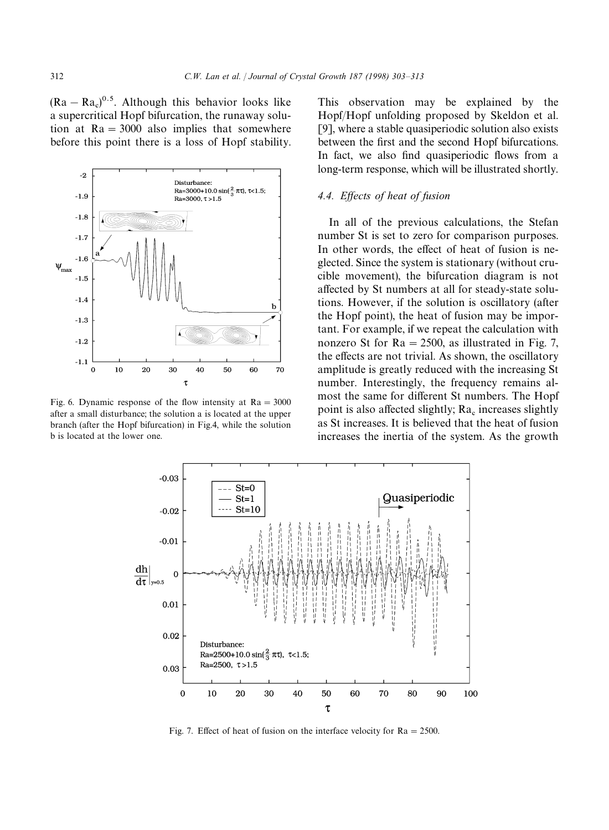$(Ra - Ra<sub>c</sub>)<sup>0.5</sup>$ . Although this behavior looks like a supercritical Hopf bifurcation, the runaway solution at  $Ra = 3000$  also implies that somewhere before this point there is a loss of Hopf stability.



Fig. 6. Dynamic response of the flow intensity at  $Ra = 3000$ after a small disturbance; the solution a is located at the upper branch (after the Hopf bifurcation) in Fig.4, while the solution b is located at the lower one.

This observation may be explained by the Hopf/Hopf unfolding proposed by Skeldon et al. [9], where a stable quasiperiodic solution also exists between the first and the second Hopf bifurcations. In fact, we also find quasiperiodic flows from a long-term response, which will be illustrated shortly.

## *4.4. Effects of heat of fusion*

In all of the previous calculations, the Stefan number St is set to zero for comparison purposes. In other words, the effect of heat of fusion is neglected. Since the system is stationary (without crucible movement), the bifurcation diagram is not affected by St numbers at all for steady-state solutions. However, if the solution is oscillatory (after the Hopf point), the heat of fusion may be important. For example, if we repeat the calculation with nonzero St for  $Ra = 2500$ , as illustrated in Fig. 7, the effects are not trivial. As shown, the oscillatory amplitude is greatly reduced with the increasing St number. Interestingly, the frequency remains almost the same for different St numbers. The Hopf point is also affected slightly;  $Ra_{\rm c}$  increases slightly as St increases. It is believed that the heat of fusion increases the inertia of the system. As the growth



Fig. 7. Effect of heat of fusion on the interface velocity for  $Ra = 2500$ .